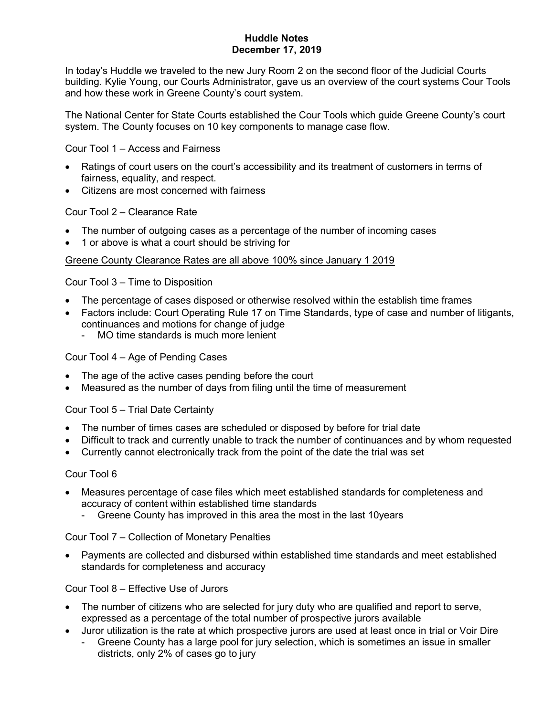# Huddle Notes December 17, 2019

In today's Huddle we traveled to the new Jury Room 2 on the second floor of the Judicial Courts building. Kylie Young, our Courts Administrator, gave us an overview of the court systems Cour Tools and how these work in Greene County's court system.

The National Center for State Courts established the Cour Tools which guide Greene County's court system. The County focuses on 10 key components to manage case flow.

Cour Tool 1 – Access and Fairness

- Ratings of court users on the court's accessibility and its treatment of customers in terms of fairness, equality, and respect.
- Citizens are most concerned with fairness

Cour Tool 2 – Clearance Rate

- The number of outgoing cases as a percentage of the number of incoming cases
- 1 or above is what a court should be striving for

## Greene County Clearance Rates are all above 100% since January 1 2019

Cour Tool 3 – Time to Disposition

- The percentage of cases disposed or otherwise resolved within the establish time frames
- Factors include: Court Operating Rule 17 on Time Standards, type of case and number of litigants, continuances and motions for change of judge
	- MO time standards is much more lenient

# Cour Tool 4 – Age of Pending Cases

- The age of the active cases pending before the court
- Measured as the number of days from filing until the time of measurement

## Cour Tool 5 – Trial Date Certainty

- The number of times cases are scheduled or disposed by before for trial date
- Difficult to track and currently unable to track the number of continuances and by whom requested
- Currently cannot electronically track from the point of the date the trial was set

## Cour Tool 6

- Measures percentage of case files which meet established standards for completeness and accuracy of content within established time standards
	- Greene County has improved in this area the most in the last 10years

Cour Tool 7 – Collection of Monetary Penalties

 Payments are collected and disbursed within established time standards and meet established standards for completeness and accuracy

Cour Tool 8 – Effective Use of Jurors

- The number of citizens who are selected for jury duty who are qualified and report to serve, expressed as a percentage of the total number of prospective jurors available
- Juror utilization is the rate at which prospective jurors are used at least once in trial or Voir Dire
	- Greene County has a large pool for jury selection, which is sometimes an issue in smaller districts, only 2% of cases go to jury